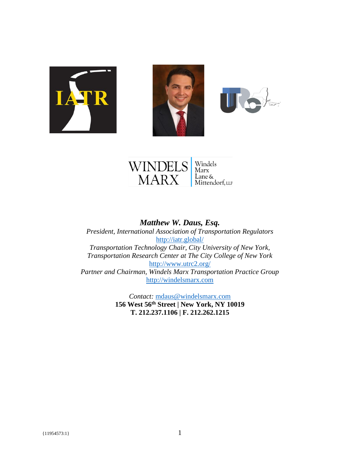







*Matthew W. Daus, Esq. President, International Association of Transportation Regulators* <http://iatr.global/> *Transportation Technology Chair, City University of New York, Transportation Research Center at The City College of New York* <http://www.utrc2.org/> *Partner and Chairman, Windels Marx Transportation Practice Group* [http://windelsmarx.com](http://windelsmarx.com/)

> *Contact:* [mdaus@windelsmarx.com](mailto:mdaus@windelsmarx.com) **156 West 56th Street | New York, NY 10019 T. 212.237.1106 | F. 212.262.1215**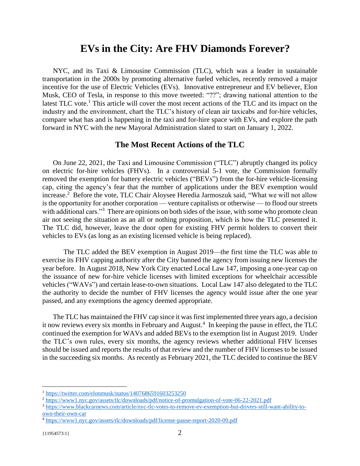# **EVs in the City: Are FHV Diamonds Forever?**

NYC, and its Taxi & Limousine Commission (TLC), which was a leader in sustainable transportation in the 2000s by promoting alternative fueled vehicles, recently removed a major incentive for the use of Electric Vehicles (EVs). Innovative entrepreneur and EV believer, Elon Musk, CEO of Tesla, in response to this move tweeted: "??"; drawing national attention to the latest TLC vote.<sup>1</sup> This article will cover the most recent actions of the TLC and its impact on the industry and the environment, chart the TLC's history of clean air taxicabs and for-hire vehicles, compare what has and is happening in the taxi and for-hire space with EVs, and explore the path forward in NYC with the new Mayoral Administration slated to start on January 1, 2022.

#### **The Most Recent Actions of the TLC**

On June 22, 2021, the Taxi and Limousine Commission ("TLC") abruptly changed its policy on electric for-hire vehicles (FHVs). In a controversial 5-1 vote, the Commission formally removed the exemption for battery electric vehicles ("BEVs") from the for-hire vehicle-licensing cap, citing the agency's fear that the number of applications under the BEV exemption would increase.<sup>2</sup> Before the vote, TLC Chair Aloysee Heredia Jarmoszuk said, "What we will not allow is the opportunity for another corporation — venture capitalists or otherwise — to flood our streets with additional cars."<sup>3</sup> There are opinions on both sides of the issue, with some who promote clean air not seeing the situation as an all or nothing proposition, which is how the TLC presented it. The TLC did, however, leave the door open for existing FHV permit holders to convert their vehicles to EVs (as long as an existing licensed vehicle is being replaced).

The TLC added the BEV exemption in August 2019—the first time the TLC was able to exercise its FHV capping authority after the City banned the agency from issuing new licenses the year before. In August 2018, New York City enacted Local Law 147, imposing a one-year cap on the issuance of new for-hire vehicle licenses with limited exceptions for wheelchair accessible vehicles ("WAVs") and certain lease-to-own situations. Local Law 147 also delegated to the TLC the authority to decide the number of FHV licenses the agency would issue after the one year passed, and any exemptions the agency deemed appropriate.

The TLC has maintained the FHV cap since it was first implemented three years ago, a decision it now reviews every six months in February and August.<sup>4</sup> In keeping the pause in effect, the TLC continued the exemption for WAVs and added BEVs to the exemption list in August 2019. Under the TLC's own rules, every six months, the agency reviews whether additional FHV licenses should be issued and reports the results of that review and the number of FHV licenses to be issued in the succeeding six months. As recently as February 2021, the TLC decided to continue the BEV

<sup>1</sup> <https://twitter.com/elonmusk/status/1407686591603253250>

<sup>2</sup> <https://www1.nyc.gov/assets/tlc/downloads/pdf/notice-of-promulgation-of-vote-06-22-2021.pdf>

<sup>3</sup> [https://www.blackcarnews.com/article/nyc-tlc-votes-to-remove-ev-exemption-but-drivers-still-want-ability-to](https://www.blackcarnews.com/article/nyc-tlc-votes-to-remove-ev-exemption-but-drivers-still-want-ability-to-own-their-own-car)[own-their-own-car](https://www.blackcarnews.com/article/nyc-tlc-votes-to-remove-ev-exemption-but-drivers-still-want-ability-to-own-their-own-car)

<sup>4</sup> <https://www1.nyc.gov/assets/tlc/downloads/pdf/license-pause-report-2020-09.pdf>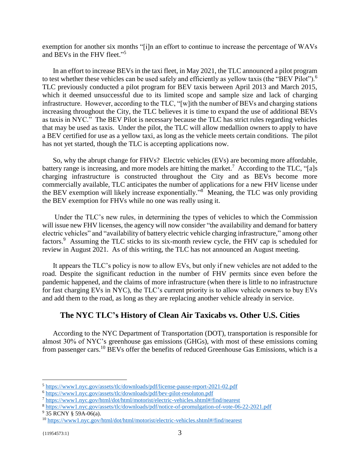exemption for another six months "[i]n an effort to continue to increase the percentage of WAVs and BEVs in the FHV fleet." 5

In an effort to increase BEVs in the taxi fleet, in May 2021, the TLC announced a pilot program to test whether these vehicles can be used safely and efficiently as yellow taxis (the "BEV Pilot").<sup>6</sup> TLC previously conducted a pilot program for BEV taxis between April 2013 and March 2015, which it deemed unsuccessful due to its limited scope and sample size and lack of charging infrastructure. However, according to the TLC, "[w]ith the number of BEVs and charging stations increasing throughout the City, the TLC believes it is time to expand the use of additional BEVs as taxis in NYC." The BEV Pilot is necessary because the TLC has strict rules regarding vehicles that may be used as taxis. Under the pilot, the TLC will allow medallion owners to apply to have a BEV certified for use as a yellow taxi, as long as the vehicle meets certain conditions. The pilot has not yet started, though the TLC is accepting applications now.

So, why the abrupt change for FHVs? Electric vehicles (EVs) are becoming more affordable, battery range is increasing, and more models are hitting the market.<sup>7</sup> According to the TLC, "[a]s charging infrastructure is constructed throughout the City and as BEVs become more commercially available, TLC anticipates the number of applications for a new FHV license under the BEV exemption will likely increase exponentially."<sup>8</sup> Meaning, the TLC was only providing the BEV exemption for FHVs while no one was really using it.

Under the TLC's new rules, in determining the types of vehicles to which the Commission will issue new FHV licenses, the agency will now consider "the availability and demand for battery electric vehicles" and "availability of battery electric vehicle charging infrastructure," among other factors.<sup>9</sup> Assuming the TLC sticks to its six-month review cycle, the FHV cap is scheduled for review in August 2021. As of this writing, the TLC has not announced an August meeting.

It appears the TLC's policy is now to allow EVs, but only if new vehicles are not added to the road. Despite the significant reduction in the number of FHV permits since even before the pandemic happened, and the claims of more infrastructure (when there is little to no infrastructure for fast charging EVs in NYC), the TLC's current priority is to allow vehicle owners to buy EVs and add them to the road, as long as they are replacing another vehicle already in service.

#### **The NYC TLC's History of Clean Air Taxicabs vs. Other U.S. Cities**

According to the NYC Department of Transportation (DOT), transportation is responsible for almost 30% of NYC's greenhouse gas emissions (GHGs), with most of these emissions coming from passenger cars.<sup>10</sup> BEVs offer the benefits of reduced Greenhouse Gas Emissions, which is a

<sup>9</sup> 35 RCNY § 59A-06(a).

<sup>5</sup> <https://www1.nyc.gov/assets/tlc/downloads/pdf/license-pause-report-2021-02.pdf>

<sup>6</sup> <https://www1.nyc.gov/assets/tlc/downloads/pdf/bev-pilot-resoluton.pdf>

<sup>7</sup> <https://www1.nyc.gov/html/dot/html/motorist/electric-vehicles.shtml#/find/nearest>

<sup>8</sup> <https://www1.nyc.gov/assets/tlc/downloads/pdf/notice-of-promulgation-of-vote-06-22-2021.pdf>

<sup>10</sup> <https://www1.nyc.gov/html/dot/html/motorist/electric-vehicles.shtml#/find/nearest>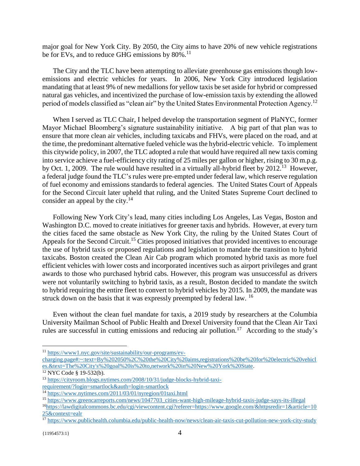major goal for New York City. By 2050, the City aims to have 20% of new vehicle registrations be for EVs, and to reduce GHG emissions by 80%.<sup>11</sup>

The City and the TLC have been attempting to alleviate greenhouse gas emissions though lowemissions and electric vehicles for years. In 2006, New York City introduced legislation mandating that at least 9% of new medallions for yellow taxis be set aside for hybrid or compressed natural gas vehicles, and incentivized the purchase of low-emission taxis by extending the allowed period of models classified as "clean air" by the United States Environmental Protection Agency.<sup>12</sup>

When I served as TLC Chair, I helped develop the transportation segment of PlaNYC, former Mayor Michael Bloomberg's signature sustainability initiative. A big part of that plan was to ensure that more clean air vehicles, including taxicabs and FHVs, were placed on the road, and at the time, the predominant alternative fueled vehicle was the hybrid-electric vehicle. To implement this citywide policy, in 2007, the TLC adopted a rule that would have required all new taxis coming into service achieve a fuel-efficiency city rating of 25 miles per gallon or higher, rising to 30 m.p.g. by Oct. 1, 2009. The rule would have resulted in a virtually all-hybrid fleet by 2012.<sup>13</sup> However, a federal judge found the TLC's rules were pre-empted under federal law, which reserve regulation of fuel economy and emissions standards to federal agencies. The United States Court of Appeals for the Second Circuit later upheld that ruling, and the United States Supreme Court declined to consider an appeal by the city.<sup>14</sup>

Following New York City's lead, many cities including Los Angeles, Las Vegas, Boston and Washington D.C. moved to create initiatives for greener taxis and hybrids. However, at every turn the cities faced the same obstacle as New York City, the ruling by the United States Court of Appeals for the Second Circuit.<sup>15</sup> Cities proposed initiatives that provided incentives to encourage the use of hybrid taxis or proposed regulations and legislation to mandate the transition to hybrid taxicabs. Boston created the Clean Air Cab program which promoted hybrid taxis as more fuel efficient vehicles with lower costs and incorporated incentives such as airport privileges and grant awards to those who purchased hybrid cabs. However, this program was unsuccessful as drivers were not voluntarily switching to hybrid taxis, as a result, Boston decided to mandate the switch to hybrid requiring the entire fleet to convert to hybrid vehicles by 2015. In 2009, the mandate was struck down on the basis that it was expressly preempted by federal law. <sup>16</sup>

Even without the clean fuel mandate for taxis, a 2019 study by researchers at the Columbia University Mailman School of Public Health and Drexel University found that the Clean Air Taxi rules are successful in cutting emissions and reducing air pollution.<sup>17</sup> According to the study's

<sup>11</sup> [https://www1.nyc.gov/site/sustainability/our-programs/ev-](https://www1.nyc.gov/site/sustainability/our-programs/ev-charging.page#:~:text=By%202050%2C%20the%20City%20aims,registrations%20be%20for%20electric%20vehicles.&text=The%20City)

[charging.page#:~:text=By%202050%2C%20the%20City%20aims,registrations%20be%20for%20electric%20vehicl](https://www1.nyc.gov/site/sustainability/our-programs/ev-charging.page#:~:text=By%202050%2C%20the%20City%20aims,registrations%20be%20for%20electric%20vehicles.&text=The%20City) [es.&text=The%20City's%20goal%20is%20to,network%20in%20New%20York%20State.](https://www1.nyc.gov/site/sustainability/our-programs/ev-charging.page#:~:text=By%202050%2C%20the%20City%20aims,registrations%20be%20for%20electric%20vehicles.&text=The%20City)

 $12$  NYC Code § 19-532(b).

<sup>13</sup> [https://cityroom.blogs.nytimes.com/2008/10/31/judge-blocks-hybrid-taxi](https://cityroom.blogs.nytimes.com/2008/10/31/judge-blocks-hybrid-taxi-requirement/?login=smartlock&auth=login-smartlock)[requirement/?login=smartlock&auth=login-smartlock](https://cityroom.blogs.nytimes.com/2008/10/31/judge-blocks-hybrid-taxi-requirement/?login=smartlock&auth=login-smartlock)

<sup>&</sup>lt;sup>14</sup> <https://www.nytimes.com/2011/03/01/nyregion/01taxi.html>

<sup>15</sup> [https://www.greencarreports.com/news/1047703\\_cities-want-high-mileage-hybrid-taxis-judge-says-its-illegal](https://www.greencarreports.com/news/1047703_cities-want-high-mileage-hybrid-taxis-judge-says-its-illegal)

<sup>16</sup>[https://lawdigitalcommons.bc.edu/cgi/viewcontent.cgi?referer=https://www.google.com/&httpsredir=1&article=10](https://lawdigitalcommons.bc.edu/cgi/viewcontent.cgi?referer=https://www.google.com/&httpsredir=1&article=1025&context=ealr) [25&context=ealr](https://lawdigitalcommons.bc.edu/cgi/viewcontent.cgi?referer=https://www.google.com/&httpsredir=1&article=1025&context=ealr)

<sup>&</sup>lt;sup>17</sup> <https://www.publichealth.columbia.edu/public-health-now/news/clean-air-taxis-cut-pollution-new-york-city-study>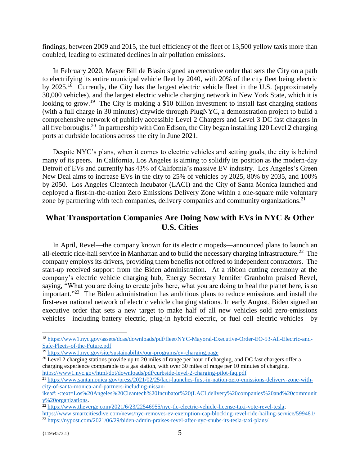findings, between 2009 and 2015, the fuel efficiency of the fleet of 13,500 yellow taxis more than doubled, leading to estimated declines in air pollution emissions.

In February 2020, Mayor Bill de Blasio signed an executive order that sets the City on a path to electrifying its entire municipal vehicle fleet by 2040, with 20% of the city fleet being electric by 2025.<sup>18</sup> Currently, the City has the largest electric vehicle fleet in the U.S. (approximately 30,000 vehicles), and the largest electric vehicle charging network in New York State, which it is looking to grow.<sup>19</sup> The City is making a \$10 billion investment to install fast charging stations (with a full charge in 30 minutes) citywide through PlugNYC, a demonstration project to build a comprehensive network of publicly accessible Level 2 Chargers and Level 3 DC fast chargers in all five boroughs.<sup>20</sup> In partnership with Con Edison, the City began installing 120 Level 2 charging ports at curbside locations across the city in June 2021.

Despite NYC's plans, when it comes to electric vehicles and setting goals, the city is behind many of its peers. In California, Los Angeles is aiming to solidify its position as the modern-day Detroit of EVs and currently has 43% of California's massive EV industry. Los Angeles's Green New Deal aims to increase EVs in the city to 25% of vehicles by 2025, 80% by 2035, and 100% by 2050. Los Angeles Cleantech Incubator (LACI) and the City of Santa Monica launched and deployed a first-in-the-nation Zero Emissions Delivery Zone within a one-square mile voluntary zone by partnering with tech companies, delivery companies and community organizations.<sup>21</sup>

### **What Transportation Companies Are Doing Now with EVs in NYC & Other U.S. Cities**

In April, Revel—the company known for its electric mopeds—announced plans to launch an all-electric ride-hail service in Manhattan and to build the necessary charging infrastructure. 22 The company employs its drivers, providing them benefits not offered to independent contractors. The start-up received support from the Biden administration. At a ribbon cutting ceremony at the company's electric vehicle charging hub, Energy Secretary Jennifer Granholm praised Revel, saying, "What you are doing to create jobs here, what you are doing to heal the planet here, is so important."<sup>23</sup> The Biden administration has ambitious plans to reduce emissions and install the first-ever national network of electric vehicle charging stations. In early August, Biden signed an executive order that sets a new target to make half of all new vehicles sold zero-emissions vehicles—including battery electric, plug-in hybrid electric, or fuel cell electric vehicles—by

<sup>18</sup> [https://www1.nyc.gov/assets/dcas/downloads/pdf/fleet/NYC-Mayoral-Executive-Order-EO-53-All-Electric-and-](https://www1.nyc.gov/assets/dcas/downloads/pdf/fleet/NYC-Mayoral-Executive-Order-EO-53-All-Electric-and-Safe-Fleets-of-the-Future.pdf)[Safe-Fleets-of-the-Future.pdf](https://www1.nyc.gov/assets/dcas/downloads/pdf/fleet/NYC-Mayoral-Executive-Order-EO-53-All-Electric-and-Safe-Fleets-of-the-Future.pdf)

<sup>19</sup> <https://www1.nyc.gov/site/sustainability/our-programs/ev-charging.page>

<sup>&</sup>lt;sup>20</sup> Level 2 charging stations provide up to 20 miles of range per hour of charging, and DC fast chargers offer a charging experience comparable to a gas station, with over 30 miles of range per 10 minutes of charging. <https://www1.nyc.gov/html/dot/downloads/pdf/curbside-level-2-charging-pilot-faq.pdf>

<sup>&</sup>lt;sup>21</sup> [https://www.santamonica.gov/press/2021/02/25/laci-launches-first-in-nation-zero-emissions-delivery-zone-with](https://www.santamonica.gov/press/2021/02/25/laci-launches-first-in-nation-zero-emissions-delivery-zone-with-city-of-santa-monica-and-partners-including-nissan-ikea#:~:text=Los%20Angeles%20Cleantech%20Incubator%20(LACI,delivery%20companies%20and%20community%20organizations)[city-of-santa-monica-and-partners-including-nissan-](https://www.santamonica.gov/press/2021/02/25/laci-launches-first-in-nation-zero-emissions-delivery-zone-with-city-of-santa-monica-and-partners-including-nissan-ikea#:~:text=Los%20Angeles%20Cleantech%20Incubator%20(LACI,delivery%20companies%20and%20community%20organizations)

[ikea#:~:text=Los%20Angeles%20Cleantech%20Incubator%20\(LACI,delivery%20companies%20and%20communit](https://www.santamonica.gov/press/2021/02/25/laci-launches-first-in-nation-zero-emissions-delivery-zone-with-city-of-santa-monica-and-partners-including-nissan-ikea#:~:text=Los%20Angeles%20Cleantech%20Incubator%20(LACI,delivery%20companies%20and%20community%20organizations) [y%20organizations.](https://www.santamonica.gov/press/2021/02/25/laci-launches-first-in-nation-zero-emissions-delivery-zone-with-city-of-santa-monica-and-partners-including-nissan-ikea#:~:text=Los%20Angeles%20Cleantech%20Incubator%20(LACI,delivery%20companies%20and%20community%20organizations)

<sup>&</sup>lt;sup>22</sup> [https://www.theverge.com/2021/6/23/22546955/nyc-tlc-electric-vehicle-license-taxi-vote-revel-tesla;](https://www.theverge.com/2021/6/23/22546955/nyc-tlc-electric-vehicle-license-taxi-vote-revel-tesla)

<https://www.smartcitiesdive.com/news/nyc-removes-ev-exemption-cap-blocking-revel-ride-hailing-service/599481/>

<sup>&</sup>lt;sup>23</sup> <https://nypost.com/2021/06/29/biden-admin-praises-revel-after-nyc-snubs-its-tesla-taxi-plans/>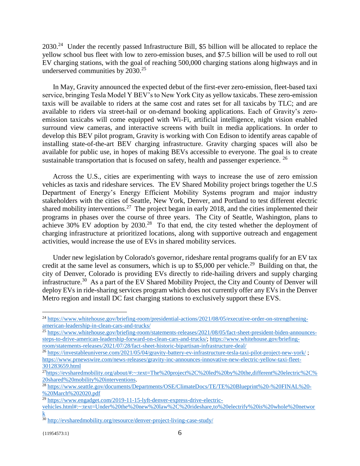2030.<sup>24</sup> Under the recently passed Infrastructure Bill, \$5 billion will be allocated to replace the yellow school bus fleet with low to zero-emission buses, and \$7.5 billion will be used to roll out EV charging stations, with the goal of reaching 500,000 charging stations along highways and in underserved communities by  $2030.<sup>25</sup>$ 

In May, Gravity announced the expected debut of the first-ever zero-emission, fleet-based taxi service, bringing Tesla Model Y BEV's to New York City as yellow taxicabs. These zero-emission taxis will be available to riders at the same cost and rates set for all taxicabs by TLC; and are available to riders via street-hail or on-demand booking applications. Each of Gravity's zeroemission taxicabs will come equipped with Wi-Fi, artificial intelligence, night vision enabled surround view cameras, and interactive screens with built in media applications. In order to develop this BEV pilot program, Gravity is working with Con Edison to identify areas capable of installing state-of-the-art BEV charging infrastructure. Gravity charging spaces will also be available for public use, in hopes of making BEVs accessible to everyone. The goal is to create sustainable transportation that is focused on safety, health and passenger experience.  $^{26}$ 

Across the U.S., cities are experimenting with ways to increase the use of zero emission vehicles as taxis and rideshare services. The EV Shared Mobility project brings together the U.S Department of Energy's Energy Efficient Mobility Systems program and major industry stakeholders with the cities of Seattle, New York, Denver, and Portland to test different electric shared mobility interventions.<sup>27</sup> The project began in early 2018, and the cities implemented their programs in phases over the course of three years. The City of Seattle, Washington, plans to achieve  $30\%$  EV adoption by  $2030.<sup>28</sup>$  To that end, the city tested whether the deployment of charging infrastructure at prioritized locations, along with supportive outreach and engagement activities, would increase the use of EVs in shared mobility services.

Under new legislation by Colorado's governor, rideshare rental programs qualify for an EV tax credit at the same level as consumers, which is up to \$5,000 per vehicle.<sup>29</sup> Building on that, the city of Denver, Colorado is providing EVs directly to ride-hailing drivers and supply charging infrastructure.<sup>30</sup> As a part of the EV Shared Mobility Project, the City and County of Denver will deploy EVs in ride-sharing services program which does not currently offer any EVs in the Denver Metro region and install DC fast charging stations to exclusively support these EVS.

<sup>24</sup> [https://www.whitehouse.gov/briefing-room/presidential-actions/2021/08/05/executive-order-on-strengthening](https://www.whitehouse.gov/briefing-room/presidential-actions/2021/08/05/executive-order-on-strengthening-american-leadership-in-clean-cars-and-trucks/)[american-leadership-in-clean-cars-and-trucks/](https://www.whitehouse.gov/briefing-room/presidential-actions/2021/08/05/executive-order-on-strengthening-american-leadership-in-clean-cars-and-trucks/)

<sup>&</sup>lt;sup>25</sup> [https://www.whitehouse.gov/briefing-room/statements-releases/2021/08/05/fact-sheet-president-biden-announces](https://www.whitehouse.gov/briefing-room/statements-releases/2021/08/05/fact-sheet-president-biden-announces-steps-to-drive-american-leadership-forward-on-clean-cars-and-trucks/)[steps-to-drive-american-leadership-forward-on-clean-cars-and-trucks/;](https://www.whitehouse.gov/briefing-room/statements-releases/2021/08/05/fact-sheet-president-biden-announces-steps-to-drive-american-leadership-forward-on-clean-cars-and-trucks/) [https://www.whitehouse.gov/briefing](https://www.whitehouse.gov/briefing-room/statements-releases/2021/07/28/fact-sheet-historic-bipartisan-infrastructure-deal/)[room/statements-releases/2021/07/28/fact-sheet-historic-bipartisan-infrastructure-deal/](https://www.whitehouse.gov/briefing-room/statements-releases/2021/07/28/fact-sheet-historic-bipartisan-infrastructure-deal/)

<sup>26</sup> <https://investableuniverse.com/2021/05/04/gravity-battery-ev-infrastructure-tesla-taxi-pilot-project-new-york/> ; [https://www.prnewswire.com/news-releases/gravity-inc-announces-innovative-new-electric-yellow-taxi-fleet-](https://www.prnewswire.com/news-releases/gravity-inc-announces-innovative-new-electric-yellow-taxi-fleet-301283659.html)[301283659.html](https://www.prnewswire.com/news-releases/gravity-inc-announces-innovative-new-electric-yellow-taxi-fleet-301283659.html)

<sup>&</sup>lt;sup>27</sup>[https://evsharedmobility.org/about/#:~:text=The%20project%2C%20led%20by%20the,different%20electric%2C%](https://evsharedmobility.org/about/#:~:text=The%20project%2C%20led%20by%20the,different%20electric%2C%20shared%20mobility%20interventions) [20shared%20mobility%20interventions.](https://evsharedmobility.org/about/#:~:text=The%20project%2C%20led%20by%20the,different%20electric%2C%20shared%20mobility%20interventions)

<sup>&</sup>lt;sup>28</sup> [https://www.seattle.gov/documents/Departments/OSE/ClimateDocs/TE/TE%20Blueprint%20-%20FINAL%20-](https://www.seattle.gov/documents/Departments/OSE/ClimateDocs/TE/TE%20Blueprint%20-%20FINAL%20-%20March%202020.pdf) [%20March%202020.pdf](https://www.seattle.gov/documents/Departments/OSE/ClimateDocs/TE/TE%20Blueprint%20-%20FINAL%20-%20March%202020.pdf)

<sup>&</sup>lt;sup>29</sup> [https://www.engadget.com/2019-11-15-lyft-denver-express-drive-electric-](https://www.engadget.com/2019-11-15-lyft-denver-express-drive-electric-vehicles.html#:~:text=Under%20the%20new%20law%2C%20rideshare,to%20electrify%20is%20whole%20network)

[vehicles.html#:~:text=Under%20the%20new%20law%2C%20rideshare,to%20electrify%20is%20whole%20networ](https://www.engadget.com/2019-11-15-lyft-denver-express-drive-electric-vehicles.html#:~:text=Under%20the%20new%20law%2C%20rideshare,to%20electrify%20is%20whole%20network) [k](https://www.engadget.com/2019-11-15-lyft-denver-express-drive-electric-vehicles.html#:~:text=Under%20the%20new%20law%2C%20rideshare,to%20electrify%20is%20whole%20network)

 $30$  <http://evsharedmobility.org/resource/denver-project-living-case-study/>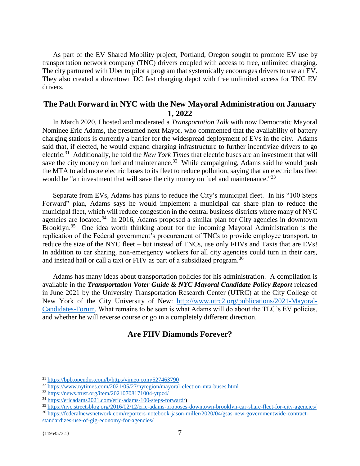As part of the EV Shared Mobility project, Portland, Oregon sought to promote EV use by transportation network company (TNC) drivers coupled with access to free, unlimited charging. The city partnered with Uber to pilot a program that systemically encourages drivers to use an EV. They also created a downtown DC fast charging depot with free unlimited access for TNC EV drivers.

## **The Path Forward in NYC with the New Mayoral Administration on January 1, 2022**

In March 2020, I hosted and moderated a *Transportation Talk* with now Democratic Mayoral Nominee Eric Adams, the presumed next Mayor, who commented that the availability of battery charging stations is currently a barrier for the widespread deployment of EVs in the city. Adams said that, if elected, he would expand charging infrastructure to further incentivize drivers to go electric.<sup>31</sup> Additionally, he told the *New York Times* that electric buses are an investment that will save the city money on fuel and maintenance.<sup>32</sup> While campaigning, Adams said he would push the MTA to add more electric buses to its fleet to reduce pollution, saying that an electric bus fleet would be "an investment that will save the city money on fuel and maintenance."<sup>33</sup>

Separate from EVs, Adams has plans to reduce the City's municipal fleet. In his "100 Steps Forward" plan, Adams says he would implement a municipal car share plan to reduce the municipal fleet, which will reduce congestion in the central business districts where many of NYC agencies are located.<sup>34</sup> In 2016, Adams proposed a similar plan for City agencies in downtown Brooklyn.<sup>35</sup> One idea worth thinking about for the incoming Mayoral Administration is the replication of the Federal government's procurement of TNCs to provide employee transport, to reduce the size of the NYC fleet – but instead of TNCs, use only FHVs and Taxis that are EVs! In addition to car sharing, non-emergency workers for all city agencies could turn in their cars, and instead hail or call a taxi or FHV as part of a subsidized program.<sup>36</sup>

Adams has many ideas about transportation policies for his administration. A compilation is available in the *Transportation Voter Guide & NYC Mayoral Candidate Policy Report* released in June 2021 by the University Transportation Research Center (UTRC) at the City College of New York of the City University of New: [http://www.utrc2.org/publications/2021-Mayoral-](http://www.utrc2.org/publications/2021-Mayoral-Candidates-Forum)[Candidates-Forum.](http://www.utrc2.org/publications/2021-Mayoral-Candidates-Forum) What remains to be seen is what Adams will do about the TLC's EV policies, and whether he will reverse course or go in a completely different direction.

# **Are FHV Diamonds Forever?**

<sup>31</sup> <https://bpb.opendns.com/b/https/vimeo.com/527463790>

<sup>32</sup> <https://www.nytimes.com/2021/05/27/nyregion/mayoral-election-mta-buses.html>

<sup>33</sup> <https://news.trust.org/item/20210708171004-ytpz4/>

<sup>34</sup> [https://ericadams2021.com/eric-adams-100-steps-forward/\)](https://ericadams2021.com/eric-adams-100-steps-forward/)

<sup>35</sup> <https://nyc.streetsblog.org/2016/02/12/eric-adams-proposes-downtown-brooklyn-car-share-fleet-for-city-agencies/>

<sup>36</sup> [https://federalnewsnetwork.com/reporters-notebook-jason-miller/2020/04/gsas-new-governmentwide-contract](https://federalnewsnetwork.com/reporters-notebook-jason-miller/2020/04/gsas-new-governmentwide-contract-standardizes-use-of-gig-economy-for-agencies/)[standardizes-use-of-gig-economy-for-agencies/](https://federalnewsnetwork.com/reporters-notebook-jason-miller/2020/04/gsas-new-governmentwide-contract-standardizes-use-of-gig-economy-for-agencies/)